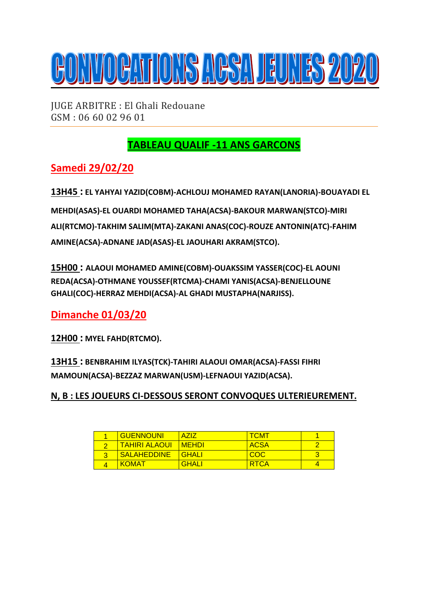

JUGE ARBITRE : El Ghali Redouane GSM : 06 60 02 96 01

# **TABLEAU QUALIF -11 ANS GARCONS**

### **Samedi 29/02/20**

**13H45 : EL YAHYAI YAZID(COBM)-ACHLOUJ MOHAMED RAYAN(LANORIA)-BOUAYADI EL MEHDI(ASAS)-EL OUARDI MOHAMED TAHA(ACSA)-BAKOUR MARWAN(STCO)-MIRI ALI(RTCMO)-TAKHIM SALIM(MTA)-ZAKANI ANAS(COC)-ROUZE ANTONIN(ATC)-FAHIM AMINE(ACSA)-ADNANE JAD(ASAS)-EL JAOUHARI AKRAM(STCO).**

**15H00 : ALAOUI MOHAMED AMINE(COBM)-OUAKSSIM YASSER(COC)-EL AOUNI REDA(ACSA)-OTHMANE YOUSSEF(RTCMA)-CHAMI YANIS(ACSA)-BENJELLOUNE GHALI(COC)-HERRAZ MEHDI(ACSA)-AL GHADI MUSTAPHA(NARJISS).**

**Dimanche 01/03/20**

**12H00 : MYEL FAHD(RTCMO).**

**13H15 : BENBRAHIM ILYAS(TCK)-TAHIRI ALAOUI OMAR(ACSA)-FASSI FIHRI MAMOUN(ACSA)-BEZZAZ MARWAN(USM)-LEFNAOUI YAZID(ACSA).**

**N, B : LES JOUEURS CI-DESSOUS SERONT CONVOQUES ULTERIEUREMENT.**

| <b>GUENNOUNI</b>     | <b>A717</b>    | <b>TCMT</b> |  |
|----------------------|----------------|-------------|--|
| <b>TAHIRI ALAOUI</b> | <u>I MEHDI</u> | <b>ACSA</b> |  |
| <b>SALAHEDDINE</b>   | <u>I GHALL</u> | COC.        |  |
| <b>KOMAT</b>         | <b>GHALI</b>   | <b>RTCA</b> |  |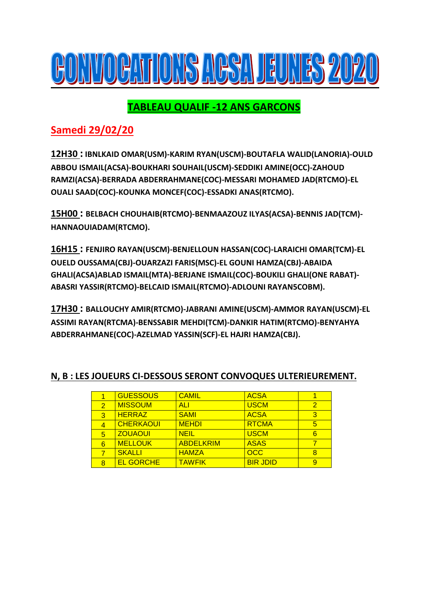

## **TABLEAU QUALIF -12 ANS GARCONS**

## **Samedi 29/02/20**

**12H30 : IBNLKAID OMAR(USM)-KARIM RYAN(USCM)-BOUTAFLA WALID(LANORIA)-OULD ABBOU ISMAIL(ACSA)-BOUKHARI SOUHAIL(USCM)-SEDDIKI AMINE(OCC)-ZAHOUD RAMZI(ACSA)-BERRADA ABDERRAHMANE(COC)-MESSARI MOHAMED JAD(RTCMO)-EL OUALI SAAD(COC)-KOUNKA MONCEF(COC)-ESSADKI ANAS(RTCMO).**

**15H00 : BELBACH CHOUHAIB(RTCMO)-BENMAAZOUZ ILYAS(ACSA)-BENNIS JAD(TCM)- HANNAOUIADAM(RTCMO).**

**16H15 : FENJIRO RAYAN(USCM)-BENJELLOUN HASSAN(COC)-LARAICHI OMAR(TCM)-EL OUELD OUSSAMA(CBJ)-OUARZAZI FARIS(MSC)-EL GOUNI HAMZA(CBJ)-ABAIDA GHALI(ACSA)ABLAD ISMAIL(MTA)-BERJANE ISMAIL(COC)-BOUKILI GHALI(ONE RABAT)- ABASRI YASSIR(RTCMO)-BELCAID ISMAIL(RTCMO)-ADLOUNI RAYAN5COBM).**

**17H30 : BALLOUCHY AMIR(RTCMO)-JABRANI AMINE(USCM)-AMMOR RAYAN(USCM)-EL ASSIMI RAYAN(RTCMA)-BENSSABIR MEHDI(TCM)-DANKIR HATIM(RTCMO)-BENYAHYA ABDERRAHMANE(COC)-AZELMAD YASSIN(SCF)-EL HAJRI HAMZA(CBJ).**

|   | <b>GUESSOUS</b>  | <b>CAMIL</b>     | <b>ACSA</b>     |                |
|---|------------------|------------------|-----------------|----------------|
| 2 | <b>MISSOUM</b>   | ALI              | <b>USCM</b>     | $\overline{2}$ |
| 3 | <b>HERRAZ</b>    | <b>SAMI</b>      | <b>ACSA</b>     | 3              |
| 4 | <b>CHERKAOUI</b> | <b>MEHDI</b>     | <b>RTCMA</b>    | 5              |
| 5 | <b>ZOUAOUI</b>   | <b>NEIL</b>      | <b>USCM</b>     | 6              |
| 6 | <b>MELLOUK</b>   | <b>ABDELKRIM</b> | <b>ASAS</b>     |                |
|   | <b>SKALLI</b>    | <b>HAMZA</b>     | OCC             | 8              |
| 8 | <b>EL GORCHE</b> | <b>TAWFIK</b>    | <b>BIR JDID</b> | 9              |

### **N, B : LES JOUEURS CI-DESSOUS SERONT CONVOQUES ULTERIEUREMENT.**